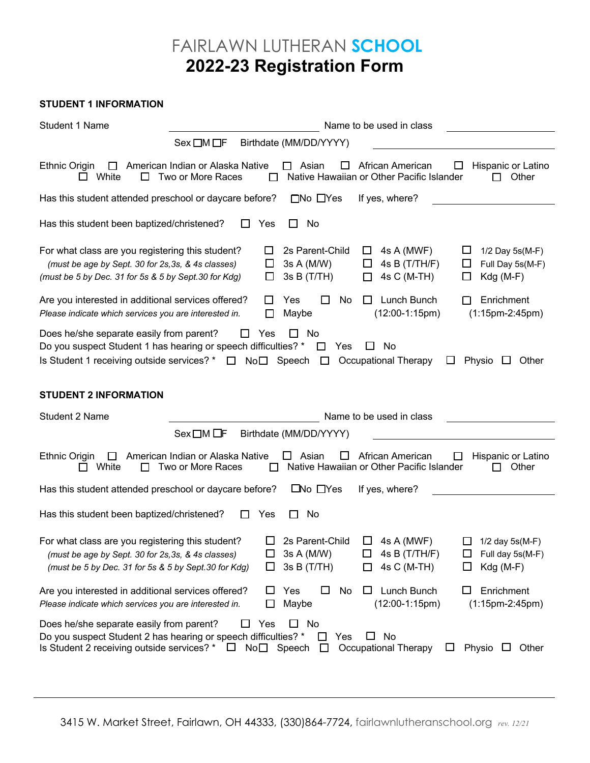## FAIRLAWN LUTHERAN **SCHOOL 2022-23 Registration Form**

## **STUDENT 1 INFORMATION**

| Student 1 Name                                                                                                                                                                                                                                                                                                              | Name to be used in class                              |                                              |                                                                                                                                    |  |
|-----------------------------------------------------------------------------------------------------------------------------------------------------------------------------------------------------------------------------------------------------------------------------------------------------------------------------|-------------------------------------------------------|----------------------------------------------|------------------------------------------------------------------------------------------------------------------------------------|--|
|                                                                                                                                                                                                                                                                                                                             | Sex □M □F                                             | Birthdate (MM/DD/YYYY)                       |                                                                                                                                    |  |
| Ethnic Origin<br>$\perp$<br>White<br>ΙI<br>ப                                                                                                                                                                                                                                                                                | American Indian or Alaska Native<br>Two or More Races | Asian<br>ப                                   | Hispanic or Latino<br>African American<br>ப<br>Native Hawaiian or Other Pacific Islander<br>Other<br>П                             |  |
| Has this student attended preschool or daycare before?                                                                                                                                                                                                                                                                      |                                                       | $\Box$ No $\Box$ Yes                         | If yes, where?                                                                                                                     |  |
| Has this student been baptized/christened?                                                                                                                                                                                                                                                                                  | Yes                                                   | No<br>LI                                     |                                                                                                                                    |  |
| For what class are you registering this student?<br>(must be age by Sept. 30 for 2s, 3s, & 4s classes)<br>(must be 5 by Dec. 31 for 5s & 5 by Sept.30 for Kdg)                                                                                                                                                              | ப<br>ப                                                | 2s Parent-Child<br>3s A (M/W)<br>3sB(T/TH)   | 4s A (MWF)<br>ப<br>ப<br>1/2 Day 5s(M-F)<br>4s B (T/TH/F)<br>Full Day 5s(M-F)<br>⊔<br>ப<br>4s C (M-TH)<br>$Kdg(M-F)$<br>$\Box$<br>□ |  |
| Are you interested in additional services offered?<br>Please indicate which services you are interested in.                                                                                                                                                                                                                 | Ш<br>ΙI                                               | Yes<br>$\Box$<br>No<br>Maybe                 | Lunch Bunch<br>Enrichment<br>$\perp$<br>$(12:00-1:15pm)$<br>$(1:15pm-2:45pm)$                                                      |  |
| Does he/she separate easily from parent?<br>Yes<br>П<br>No.<br>Do you suspect Student 1 has hearing or speech difficulties? *<br>Yes<br>No<br>$\Box$<br>ப<br>Is Student 1 receiving outside services? *<br>$No \Box$ Speech<br>$\Box$<br><b>Occupational Therapy</b><br>Physio<br>Other<br>□<br>ப<br>ப                      |                                                       |                                              |                                                                                                                                    |  |
| <b>STUDENT 2 INFORMATION</b>                                                                                                                                                                                                                                                                                                |                                                       |                                              |                                                                                                                                    |  |
| Student 2 Name                                                                                                                                                                                                                                                                                                              |                                                       |                                              | Name to be used in class                                                                                                           |  |
|                                                                                                                                                                                                                                                                                                                             | $Sex \Box M \Box F$                                   | Birthdate (MM/DD/YYYY)                       |                                                                                                                                    |  |
| American Indian or Alaska Native<br>Asian<br>Ethnic Origin<br>African American<br>Hispanic or Latino<br>$\Box$<br>Ш<br>$\mathbf{L}$<br>White<br>Native Hawaiian or Other Pacific Islander<br>Other<br>Two or More Races<br>ΙI<br>$\mathsf{L}$                                                                               |                                                       |                                              |                                                                                                                                    |  |
| $\square$ No $\square$ Yes<br>Has this student attended preschool or daycare before?<br>If yes, where?                                                                                                                                                                                                                      |                                                       |                                              |                                                                                                                                    |  |
| Has this student been baptized/christened?                                                                                                                                                                                                                                                                                  | Yes                                                   | No<br>ΙI                                     |                                                                                                                                    |  |
| For what class are you registering this student?<br>(must be age by Sept. 30 for 2s, 3s, & 4s classes)<br>(must be 5 by Dec. 31 for 5s & 5 by Sept.30 for Kdg)                                                                                                                                                              | ப<br>ப<br>ப                                           | 2s Parent-Child<br>3s A (M/W)<br>3s B (T/TH) | $\Box$<br>4s A (MWF)<br>Ш<br>$1/2$ day $5s(M-F)$<br>4s B $(T/TH/F)$<br>Full day 5s(M-F)<br>ப<br>ப<br>4s C (M-TH)<br>$Kdg(M-F)$     |  |
| Are you interested in additional services offered?<br>Please indicate which services you are interested in.                                                                                                                                                                                                                 | ப<br>$\Box$                                           | Yes<br>No<br>ப<br>Maybe                      | Lunch Bunch<br>Enrichment<br>⊔<br>$(12:00-1:15pm)$<br>$(1:15pm-2:45pm)$                                                            |  |
| Yes<br>$\Box$<br>Does he/she separate easily from parent?<br>No<br>ப<br>Do you suspect Student 2 has hearing or speech difficulties? *<br>No<br>Yes<br>ப<br>$\Box$<br>Is Student 2 receiving outside services? *<br>Speech<br>Occupational Therapy<br>No <sub>1</sub><br>Physio<br>Other<br>$\Box$<br>$\Box$<br>ப<br>$\Box$ |                                                       |                                              |                                                                                                                                    |  |